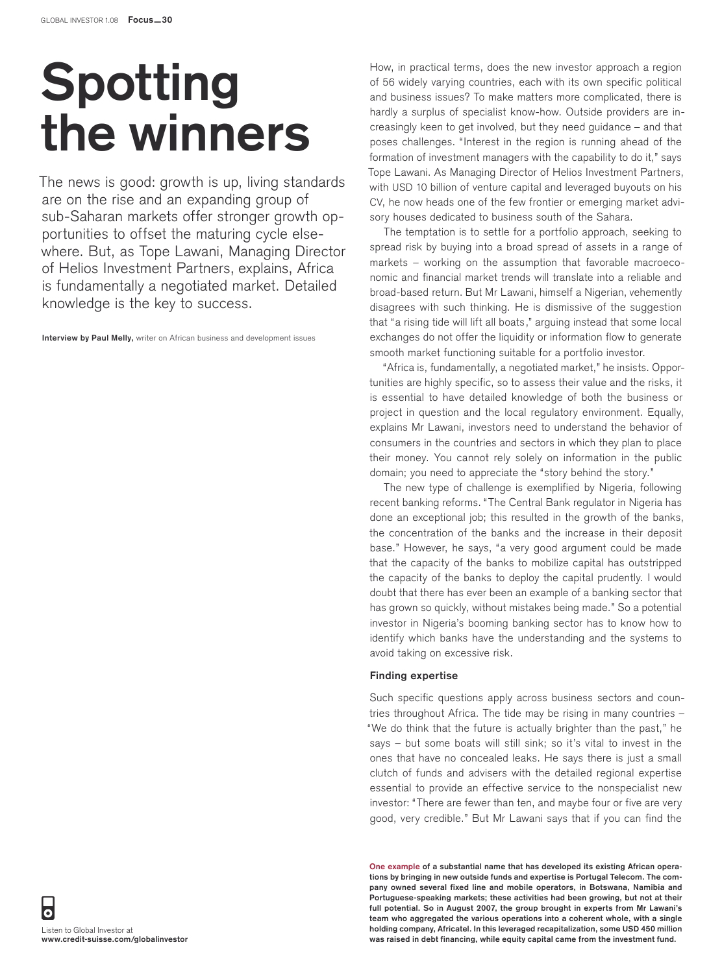## **Spotting the winners**

The news is good: growth is up, living standards are on the rise and an expanding group of sub-Saharan markets offer stronger growth opportunities to offset the maturing cycle elsewhere. But, as Tope Lawani, Managing Director of Helios Investment Partners, explains, Africa is fundamentally a negotiated market. Detailed knowledge is the key to success.

**Interview by Paul Melly,** writer on African business and development issues

How, in practical terms, does the new investor approach a region of 56 widely varying countries, each with its own specific political and business issues? To make matters more complicated, there is hardly a surplus of specialist know-how. Outside providers are increasingly keen to get involved, but they need guidance – and that poses challenges. "Interest in the region is running ahead of the formation of investment managers with the capability to do it," says Tope Lawani. As Managing Director of Helios Investment Partners, with USD 10 billion of venture capital and leveraged buyouts on his CV, he now heads one of the few frontier or emerging market advisory houses dedicated to business south of the Sahara.

The temptation is to settle for a portfolio approach, seeking to spread risk by buying into a broad spread of assets in a range of markets – working on the assumption that favorable macroeconomic and financial market trends will translate into a reliable and broad-based return. But Mr Lawani, himself a Nigerian, vehemently disagrees with such thinking. He is dismissive of the suggestion that "a rising tide will lift all boats," arguing instead that some local exchanges do not offer the liquidity or information flow to generate smooth market functioning suitable for a portfolio investor.

"Africa is, fundamentally, a negotiated market," he insists. Opportunities are highly specific, so to assess their value and the risks, it is essential to have detailed knowledge of both the business or project in question and the local regulatory environment. Equally, explains Mr Lawani, investors need to understand the behavior of consumers in the countries and sectors in which they plan to place their money. You cannot rely solely on information in the public domain; you need to appreciate the "story behind the story."

The new type of challenge is exemplified by Nigeria, following recent banking reforms. "The Central Bank regulator in Nigeria has done an exceptional job; this resulted in the growth of the banks, the concentration of the banks and the increase in their deposit base." However, he says, "a very good argument could be made that the capacity of the banks to mobilize capital has outstripped the capacity of the banks to deploy the capital prudently. I would doubt that there has ever been an example of a banking sector that has grown so quickly, without mistakes being made." So a potential investor in Nigeria's booming banking sector has to know how to identify which banks have the understanding and the systems to avoid taking on excessive risk.

## **Finding expertise**

Such specific questions apply across business sectors and countries throughout Africa. The tide may be rising in many countries – "We do think that the future is actually brighter than the past," he says – but some boats will still sink; so it's vital to invest in the ones that have no concealed leaks. He says there is just a small clutch of funds and advisers with the detailed regional expertise essential to provide an effective service to the nonspecialist new investor: "There are fewer than ten, and maybe four or five are very good, very credible." But Mr Lawani says that if you can find the

**One example of a substantial name that has developed its existing African operations by bringing in new outside funds and expertise is Portugal Telecom. The company owned several fixed line and mobile operators, in Botswana, Namibia and Portuguese-speaking markets; these activities had been growing, but not at their full potential. So in August 2007, the group brought in experts from Mr Lawani's team who aggregated the various operations into a coherent whole, with a single holding company, Africatel. In this leveraged recapitalization, some USD 450 million was raised in debt financing, while equity capital came from the investment fund.**